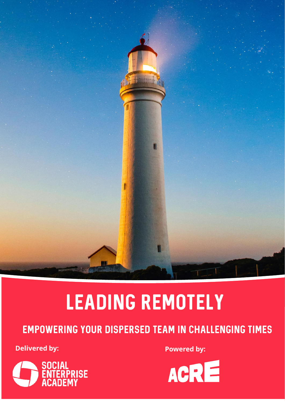

# Leading remotely

### Empowering your dispersed team in challenging times

**Delivered by: Powered by: Powered by:**